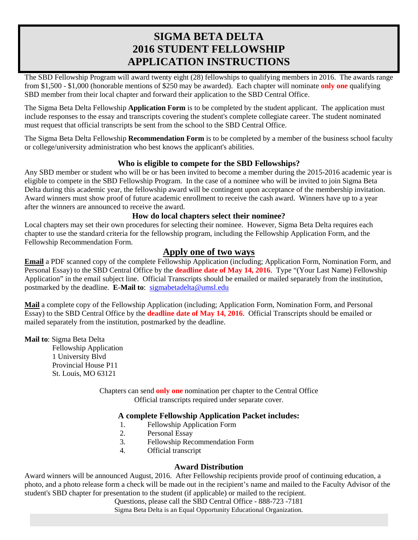# **SIGMA BETA DELTA 2016 STUDENT FELLOWSHIP APPLICATION INSTRUCTIONS**

The SBD Fellowship Program will award twenty eight (28) fellowships to qualifying members in 2016. The awards range from \$1,500 - \$1,000 (honorable mentions of \$250 may be awarded). Each chapter will nominate **only one** qualifying SBD member from their local chapter and forward their application to the SBD Central Office.

The Sigma Beta Delta Fellowship **Application Form** is to be completed by the student applicant. The application must include responses to the essay and transcripts covering the student's complete collegiate career. The student nominated must request that official transcripts be sent from the school to the SBD Central Office.

The Sigma Beta Delta Fellowship **Recommendation Form** is to be completed by a member of the business school faculty or college/university administration who best knows the applicant's abilities.

### **Who is eligible to compete for the SBD Fellowships?**

Any SBD member or student who will be or has been invited to become a member during the 2015-2016 academic year is eligible to compete in the SBD Fellowship Program. In the case of a nominee who will be invited to join Sigma Beta Delta during this academic year, the fellowship award will be contingent upon acceptance of the membership invitation. Award winners must show proof of future academic enrollment to receive the cash award. Winners have up to a year after the winners are announced to receive the award.

### **How do local chapters select their nominee?**

Local chapters may set their own procedures for selecting their nominee. However, Sigma Beta Delta requires each chapter to use the standard criteria for the fellowship program, including the Fellowship Application Form, and the Fellowship Recommendation Form.

# **Apply one of two ways**

**Email** a PDF scanned copy of the complete Fellowship Application (including; Application Form, Nomination Form, and Personal Essay) to the SBD Central Office by the **deadline date of May 14, 2016**. Type "(Your Last Name) Fellowship Application" in the email subject line. Official Transcripts should be emailed or mailed separately from the institution, postmarked by the deadline. **E-Mail to**: [sigmabetadelta@umsl.edu](mailto:sigmabetadelta@umsl.edu)

**Mail** a complete copy of the Fellowship Application (including; Application Form, Nomination Form, and Personal Essay) to the SBD Central Office by the **deadline date of May 14, 2016**. Official Transcripts should be emailed or mailed separately from the institution, postmarked by the deadline.

**Mail to**: Sigma Beta Delta

Fellowship Application 1 University Blvd Provincial House P11 St. Louis, MO 63121

> Chapters can send **only one** nomination per chapter to the Central Office Official transcripts required under separate cover.

### **A complete Fellowship Application Packet includes:**

- 1. Fellowship Application Form
- 2. Personal Essay
- 3. Fellowship Recommendation Form
- 4. Official transcript

### **Award Distribution**

Award winners will be announced August, 2016. After Fellowship recipients provide proof of continuing education, a photo, and a photo release form a check will be made out in the recipient's name and mailed to the Faculty Advisor of the student's SBD chapter for presentation to the student (if applicable) or mailed to the recipient.

Questions, please call the SBD Central Office - 888-723 -7181

Sigma Beta Delta is an Equal Opportunity Educational Organization.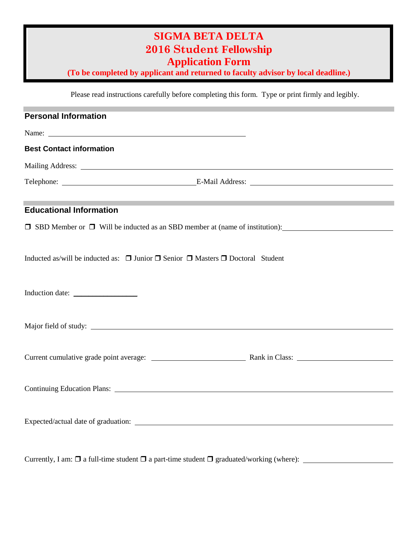# **SIGMA BETA DELTA 2016 Student Fellowship Application Form**

**(To be completed by applicant and returned to faculty advisor by local deadline.)**

Please read instructions carefully before completing this form. Type or print firmly and legibly.

| <b>Personal Information</b>                                                                                                                                                                                                    |                                                                                         |  |
|--------------------------------------------------------------------------------------------------------------------------------------------------------------------------------------------------------------------------------|-----------------------------------------------------------------------------------------|--|
| Name: Name and the set of the set of the set of the set of the set of the set of the set of the set of the set of the set of the set of the set of the set of the set of the set of the set of the set of the set of the set o |                                                                                         |  |
| <b>Best Contact information</b>                                                                                                                                                                                                |                                                                                         |  |
|                                                                                                                                                                                                                                |                                                                                         |  |
|                                                                                                                                                                                                                                | Telephone: <u>E-Mail Address:</u> E-Mail Address:                                       |  |
| <b>Educational Information</b>                                                                                                                                                                                                 |                                                                                         |  |
|                                                                                                                                                                                                                                | $\Box$ SBD Member or $\Box$ Will be inducted as an SBD member at (name of institution): |  |
| Inducted as/will be inducted as: $\Box$ Junior $\Box$ Senior $\Box$ Masters $\Box$ Doctoral Student                                                                                                                            |                                                                                         |  |
|                                                                                                                                                                                                                                |                                                                                         |  |
|                                                                                                                                                                                                                                |                                                                                         |  |
|                                                                                                                                                                                                                                |                                                                                         |  |
|                                                                                                                                                                                                                                |                                                                                         |  |
|                                                                                                                                                                                                                                |                                                                                         |  |
|                                                                                                                                                                                                                                |                                                                                         |  |

Currently, I am: a full-time student a part-time student graduated/working (where):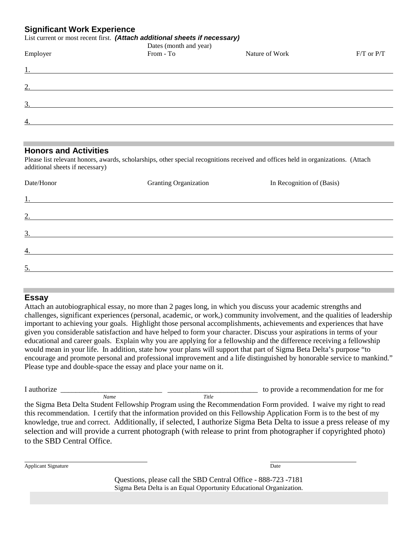## **Significant Work Experience**

#### List current or most recent first. *(Attach additional sheets if necessary)*

| Employer         | Dates (month and year)<br>From - To | Nature of Work | $F/T$ or $P/T$ |
|------------------|-------------------------------------|----------------|----------------|
| <u>1.</u>        |                                     |                |                |
| 2.               |                                     |                |                |
| $\overline{3}$ . |                                     |                |                |
| $\overline{4}$ . |                                     |                |                |
|                  |                                     |                |                |

#### **Honors and Activities**

Please list relevant honors, awards, scholarships, other special recognitions received and offices held in organizations. (Attach additional sheets if necessary)

| Date/Honor                                                         | <b>Granting Organization</b> | In Recognition of (Basis) |
|--------------------------------------------------------------------|------------------------------|---------------------------|
| 1.<br><u> 1989 - Johann Stein, mars and de Brazilian (b. 1989)</u> |                              |                           |
| 2.                                                                 |                              |                           |
| $\overline{3}$ .                                                   |                              |                           |
| 4.                                                                 |                              |                           |
| 5.                                                                 |                              |                           |
|                                                                    |                              |                           |

#### **Essay**

Attach an autobiographical essay, no more than 2 pages long, in which you discuss your academic strengths and challenges, significant experiences (personal, academic, or work,) community involvement, and the qualities of leadership important to achieving your goals. Highlight those personal accomplishments, achievements and experiences that have given you considerable satisfaction and have helped to form your character. Discuss your aspirations in terms of your educational and career goals. Explain why you are applying for a fellowship and the difference receiving a fellowship would mean in your life. In addition, state how your plans will support that part of Sigma Beta Delta's purpose "to encourage and promote personal and professional improvement and a life distinguished by honorable service to mankind." Please type and double-space the essay and place your name on it.

I authorize  $\frac{1}{\text{Number 1}}$   $\frac{1}{\text{Number 2}}$   $\frac{1}{\text{Time 3}}$  are to provide a recommendation for me for *Name Title*

the Sigma Beta Delta Student Fellowship Program using the Recommendation Form provided. I waive my right to read this recommendation. I certify that the information provided on this Fellowship Application Form is to the best of my knowledge, true and correct. Additionally, if selected, I authorize Sigma Beta Delta to issue a press release of my selection and will provide a current photograph (with release to print from photographer if copyrighted photo) to the SBD Central Office.

Applicant Signature Date and Applicant Signature Date and Applicant Signature Date

Questions, please call the SBD Central Office - 888-723 -7181 Sigma Beta Delta is an Equal Opportunity Educational Organization.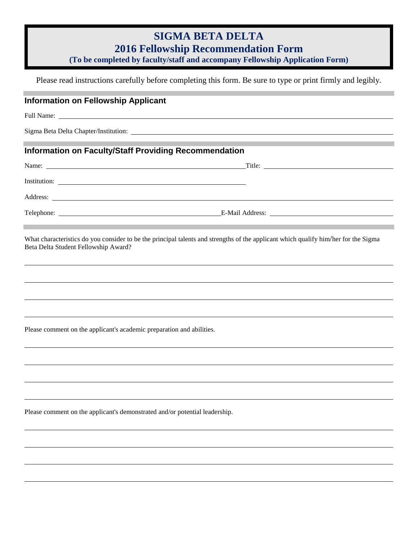# **SIGMA BETA DELTA**

**2016 Fellowship Recommendation Form**

**(To be completed by faculty/staff and accompany Fellowship Application Form)**

Please read instructions carefully before completing this form. Be sure to type or print firmly and legibly.

# **Information on Fellowship Applicant**

Full Name:

Sigma Beta Delta Chapter/Institution:

# **Information on Faculty/Staff Providing Recommendation**

| Name:<br><u> 1989 - Johann Stoff, amerikansk politiker (d. 1989)</u> | Title:<br><u> 1980 - Jan Samuel Barbara, martin al-Amerikaansk politik (</u> |
|----------------------------------------------------------------------|------------------------------------------------------------------------------|
| Institution:                                                         |                                                                              |
| Address:                                                             |                                                                              |
| Telephone:                                                           |                                                                              |

What characteristics do you consider to be the principal talents and strengths of the applicant which qualify him/her for the Sigma Beta Delta Student Fellowship Award?

Please comment on the applicant's academic preparation and abilities.

Please comment on the applicant's demonstrated and/or potential leadership.